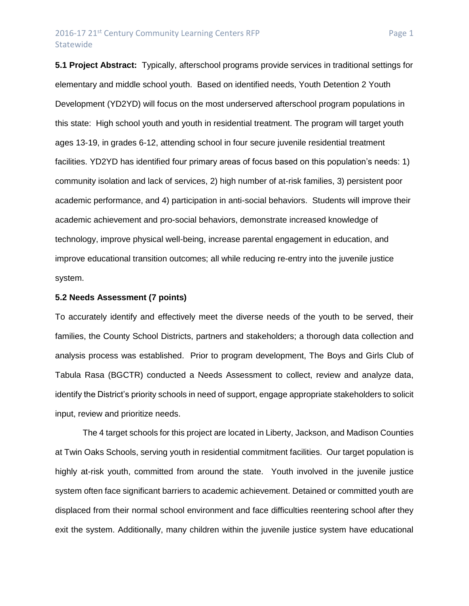## 2016-17 21<sup>st</sup> Century Community Learning Centers RFP Page 1 **Statewide**

**5.1 Project Abstract:** Typically, afterschool programs provide services in traditional settings for elementary and middle school youth. Based on identified needs, Youth Detention 2 Youth Development (YD2YD) will focus on the most underserved afterschool program populations in this state: High school youth and youth in residential treatment. The program will target youth ages 13-19, in grades 6-12, attending school in four secure juvenile residential treatment facilities. YD2YD has identified four primary areas of focus based on this population's needs: 1) community isolation and lack of services, 2) high number of at-risk families, 3) persistent poor academic performance, and 4) participation in anti-social behaviors. Students will improve their academic achievement and pro-social behaviors, demonstrate increased knowledge of technology, improve physical well-being, increase parental engagement in education, and improve educational transition outcomes; all while reducing re-entry into the juvenile justice system.

#### **5.2 Needs Assessment (7 points)**

To accurately identify and effectively meet the diverse needs of the youth to be served, their families, the County School Districts, partners and stakeholders; a thorough data collection and analysis process was established. Prior to program development, The Boys and Girls Club of Tabula Rasa (BGCTR) conducted a Needs Assessment to collect, review and analyze data, identify the District's priority schools in need of support, engage appropriate stakeholders to solicit input, review and prioritize needs.

The 4 target schools for this project are located in Liberty, Jackson, and Madison Counties at Twin Oaks Schools, serving youth in residential commitment facilities. Our target population is highly at-risk youth, committed from around the state. Youth involved in the juvenile justice system often face significant barriers to academic achievement. Detained or committed youth are displaced from their normal school environment and face difficulties reentering school after they exit the system. Additionally, many children within the juvenile justice system have educational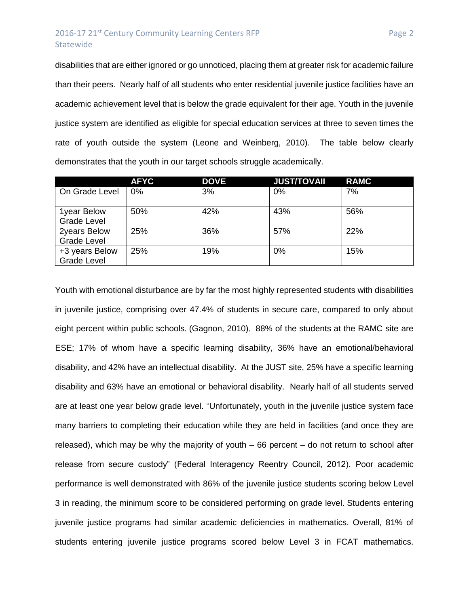# 2016-17 21<sup>st</sup> Century Community Learning Centers RFP Page 2 Statewide

disabilities that are either ignored or go unnoticed, placing them at greater risk for academic failure than their peers. Nearly half of all students who enter residential juvenile justice facilities have an academic achievement level that is below the grade equivalent for their age. Youth in the juvenile justice system are identified as eligible for special education services at three to seven times the rate of youth outside the system (Leone and Weinberg, 2010). The table below clearly demonstrates that the youth in our target schools struggle academically.

|                                      | <b>AFYC</b> | <b>DOVE</b> | <b>JUST/TOVAII</b> | <b>RAMC</b> |
|--------------------------------------|-------------|-------------|--------------------|-------------|
| On Grade Level                       | 0%          | 3%          | 0%                 | 7%          |
| 1year Below<br><b>Grade Level</b>    | 50%         | 42%         | 43%                | 56%         |
| 2years Below<br><b>Grade Level</b>   | 25%         | 36%         | 57%                | 22%         |
| +3 years Below<br><b>Grade Level</b> | 25%         | 19%         | $0\%$              | 15%         |

Youth with emotional disturbance are by far the most highly represented students with disabilities in juvenile justice, comprising over 47.4% of students in secure care, compared to only about eight percent within public schools. (Gagnon, 2010). 88% of the students at the RAMC site are ESE; 17% of whom have a specific learning disability, 36% have an emotional/behavioral disability, and 42% have an intellectual disability. At the JUST site, 25% have a specific learning disability and 63% have an emotional or behavioral disability. Nearly half of all students served are at least one year below grade level. "Unfortunately, youth in the juvenile justice system face many barriers to completing their education while they are held in facilities (and once they are released), which may be why the majority of youth – 66 percent – do not return to school after release from secure custody" (Federal Interagency Reentry Council, 2012). Poor academic performance is well demonstrated with 86% of the juvenile justice students scoring below Level 3 in reading, the minimum score to be considered performing on grade level. Students entering juvenile justice programs had similar academic deficiencies in mathematics. Overall, 81% of students entering juvenile justice programs scored below Level 3 in FCAT mathematics.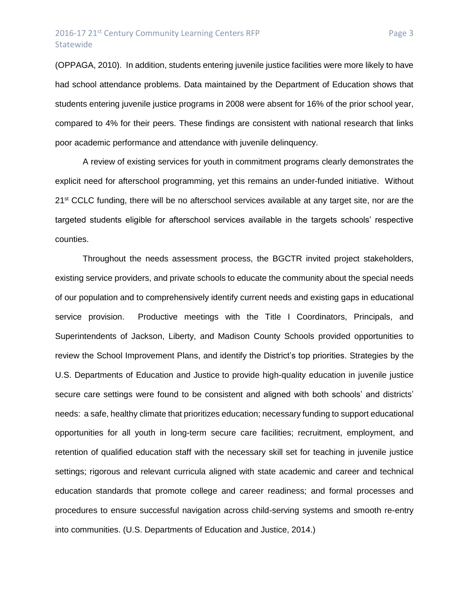(OPPAGA, 2010). In addition, students entering juvenile justice facilities were more likely to have had school attendance problems. Data maintained by the Department of Education shows that students entering juvenile justice programs in 2008 were absent for 16% of the prior school year, compared to 4% for their peers. These findings are consistent with national research that links poor academic performance and attendance with juvenile delinquency.

A review of existing services for youth in commitment programs clearly demonstrates the explicit need for afterschool programming, yet this remains an under-funded initiative. Without 21<sup>st</sup> CCLC funding, there will be no afterschool services available at any target site, nor are the targeted students eligible for afterschool services available in the targets schools' respective counties.

Throughout the needs assessment process, the BGCTR invited project stakeholders, existing service providers, and private schools to educate the community about the special needs of our population and to comprehensively identify current needs and existing gaps in educational service provision. Productive meetings with the Title I Coordinators, Principals, and Superintendents of Jackson, Liberty, and Madison County Schools provided opportunities to review the School Improvement Plans, and identify the District's top priorities. Strategies by the U.S. Departments of Education and Justice to provide high-quality education in juvenile justice secure care settings were found to be consistent and aligned with both schools' and districts' needs: a safe, healthy climate that prioritizes education; necessary funding to support educational opportunities for all youth in long-term secure care facilities; recruitment, employment, and retention of qualified education staff with the necessary skill set for teaching in juvenile justice settings; rigorous and relevant curricula aligned with state academic and career and technical education standards that promote college and career readiness; and formal processes and procedures to ensure successful navigation across child-serving systems and smooth re-entry into communities. (U.S. Departments of Education and Justice, 2014.)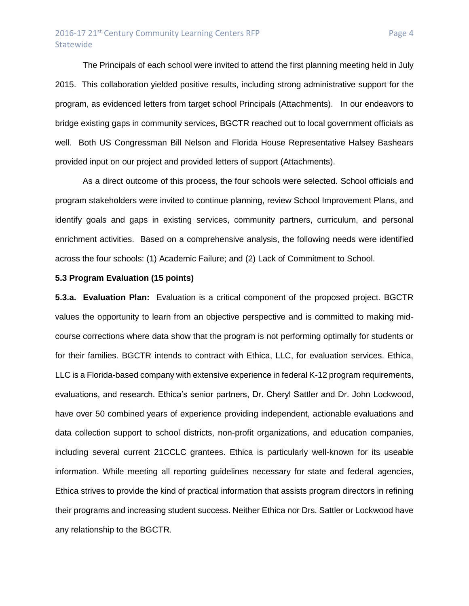### 2016-17 21<sup>st</sup> Century Community Learning Centers RFP Page 4 **Statewide**

The Principals of each school were invited to attend the first planning meeting held in July 2015. This collaboration yielded positive results, including strong administrative support for the program, as evidenced letters from target school Principals (Attachments). In our endeavors to bridge existing gaps in community services, BGCTR reached out to local government officials as well. Both US Congressman Bill Nelson and Florida House Representative Halsey Bashears provided input on our project and provided letters of support (Attachments).

As a direct outcome of this process, the four schools were selected. School officials and program stakeholders were invited to continue planning, review School Improvement Plans, and identify goals and gaps in existing services, community partners, curriculum, and personal enrichment activities. Based on a comprehensive analysis, the following needs were identified across the four schools: (1) Academic Failure; and (2) Lack of Commitment to School.

### **5.3 Program Evaluation (15 points)**

**5.3.a. Evaluation Plan:** Evaluation is a critical component of the proposed project. BGCTR values the opportunity to learn from an objective perspective and is committed to making midcourse corrections where data show that the program is not performing optimally for students or for their families. BGCTR intends to contract with Ethica, LLC, for evaluation services. Ethica, LLC is a Florida-based company with extensive experience in federal K-12 program requirements, evaluations, and research. Ethica's senior partners, Dr. Cheryl Sattler and Dr. John Lockwood, have over 50 combined years of experience providing independent, actionable evaluations and data collection support to school districts, non-profit organizations, and education companies, including several current 21CCLC grantees. Ethica is particularly well-known for its useable information. While meeting all reporting guidelines necessary for state and federal agencies, Ethica strives to provide the kind of practical information that assists program directors in refining their programs and increasing student success. Neither Ethica nor Drs. Sattler or Lockwood have any relationship to the BGCTR.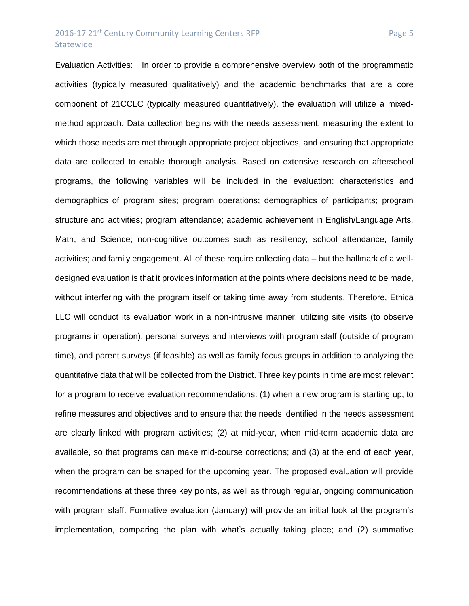### 2016-17 21<sup>st</sup> Century Community Learning Centers RFP Page 5 Statewide

Evaluation Activities: In order to provide a comprehensive overview both of the programmatic activities (typically measured qualitatively) and the academic benchmarks that are a core component of 21CCLC (typically measured quantitatively), the evaluation will utilize a mixedmethod approach. Data collection begins with the needs assessment, measuring the extent to which those needs are met through appropriate project objectives, and ensuring that appropriate data are collected to enable thorough analysis. Based on extensive research on afterschool programs, the following variables will be included in the evaluation: characteristics and demographics of program sites; program operations; demographics of participants; program structure and activities; program attendance; academic achievement in English/Language Arts, Math, and Science; non-cognitive outcomes such as resiliency; school attendance; family activities; and family engagement. All of these require collecting data – but the hallmark of a welldesigned evaluation is that it provides information at the points where decisions need to be made, without interfering with the program itself or taking time away from students. Therefore, Ethica LLC will conduct its evaluation work in a non-intrusive manner, utilizing site visits (to observe programs in operation), personal surveys and interviews with program staff (outside of program time), and parent surveys (if feasible) as well as family focus groups in addition to analyzing the quantitative data that will be collected from the District. Three key points in time are most relevant for a program to receive evaluation recommendations: (1) when a new program is starting up, to refine measures and objectives and to ensure that the needs identified in the needs assessment are clearly linked with program activities; (2) at mid-year, when mid-term academic data are available, so that programs can make mid-course corrections; and (3) at the end of each year, when the program can be shaped for the upcoming year. The proposed evaluation will provide recommendations at these three key points, as well as through regular, ongoing communication with program staff. Formative evaluation (January) will provide an initial look at the program's implementation, comparing the plan with what's actually taking place; and (2) summative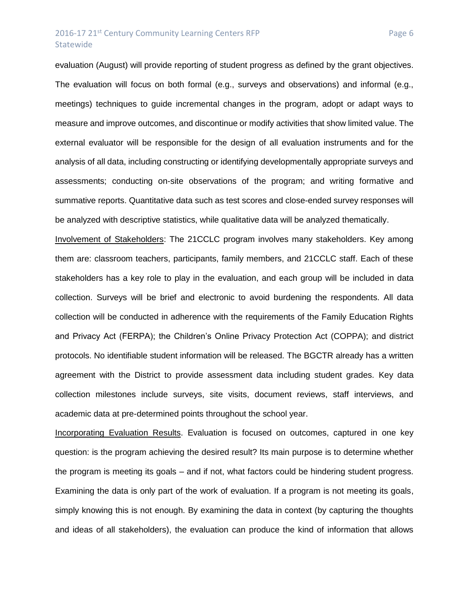## 2016-17 21<sup>st</sup> Century Community Learning Centers RFP Page 6 Statewide

evaluation (August) will provide reporting of student progress as defined by the grant objectives. The evaluation will focus on both formal (e.g., surveys and observations) and informal (e.g., meetings) techniques to guide incremental changes in the program, adopt or adapt ways to measure and improve outcomes, and discontinue or modify activities that show limited value. The external evaluator will be responsible for the design of all evaluation instruments and for the analysis of all data, including constructing or identifying developmentally appropriate surveys and assessments; conducting on-site observations of the program; and writing formative and summative reports. Quantitative data such as test scores and close-ended survey responses will be analyzed with descriptive statistics, while qualitative data will be analyzed thematically.

Involvement of Stakeholders: The 21CCLC program involves many stakeholders. Key among them are: classroom teachers, participants, family members, and 21CCLC staff. Each of these stakeholders has a key role to play in the evaluation, and each group will be included in data collection. Surveys will be brief and electronic to avoid burdening the respondents. All data collection will be conducted in adherence with the requirements of the Family Education Rights and Privacy Act (FERPA); the Children's Online Privacy Protection Act (COPPA); and district protocols. No identifiable student information will be released. The BGCTR already has a written agreement with the District to provide assessment data including student grades. Key data collection milestones include surveys, site visits, document reviews, staff interviews, and academic data at pre-determined points throughout the school year.

Incorporating Evaluation Results. Evaluation is focused on outcomes, captured in one key question: is the program achieving the desired result? Its main purpose is to determine whether the program is meeting its goals – and if not, what factors could be hindering student progress. Examining the data is only part of the work of evaluation. If a program is not meeting its goals, simply knowing this is not enough. By examining the data in context (by capturing the thoughts and ideas of all stakeholders), the evaluation can produce the kind of information that allows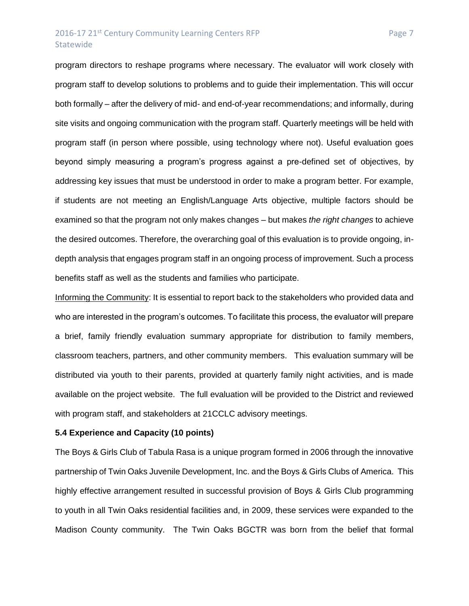## 2016-17 21<sup>st</sup> Century Community Learning Centers RFP Page 7 **Statewide**

program directors to reshape programs where necessary. The evaluator will work closely with program staff to develop solutions to problems and to guide their implementation. This will occur both formally – after the delivery of mid- and end-of-year recommendations; and informally, during site visits and ongoing communication with the program staff. Quarterly meetings will be held with program staff (in person where possible, using technology where not). Useful evaluation goes beyond simply measuring a program's progress against a pre-defined set of objectives, by addressing key issues that must be understood in order to make a program better. For example, if students are not meeting an English/Language Arts objective, multiple factors should be examined so that the program not only makes changes – but makes *the right changes* to achieve the desired outcomes. Therefore, the overarching goal of this evaluation is to provide ongoing, indepth analysis that engages program staff in an ongoing process of improvement. Such a process benefits staff as well as the students and families who participate.

Informing the Community: It is essential to report back to the stakeholders who provided data and who are interested in the program's outcomes. To facilitate this process, the evaluator will prepare a brief, family friendly evaluation summary appropriate for distribution to family members, classroom teachers, partners, and other community members. This evaluation summary will be distributed via youth to their parents, provided at quarterly family night activities, and is made available on the project website. The full evaluation will be provided to the District and reviewed with program staff, and stakeholders at 21CCLC advisory meetings.

#### **5.4 Experience and Capacity (10 points)**

The Boys & Girls Club of Tabula Rasa is a unique program formed in 2006 through the innovative partnership of Twin Oaks Juvenile Development, Inc. and the Boys & Girls Clubs of America. This highly effective arrangement resulted in successful provision of Boys & Girls Club programming to youth in all Twin Oaks residential facilities and, in 2009, these services were expanded to the Madison County community. The Twin Oaks BGCTR was born from the belief that formal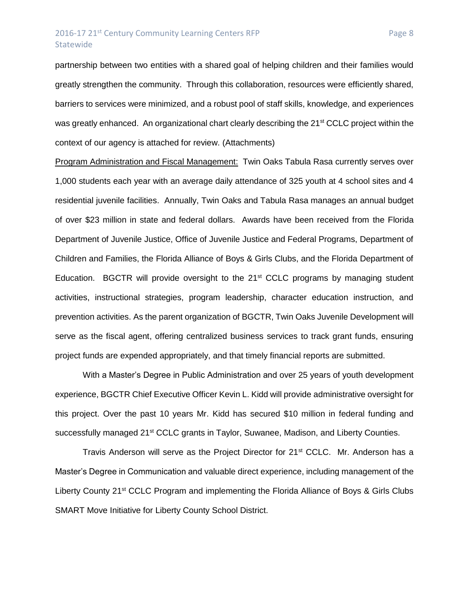## 2016-17 21<sup>st</sup> Century Community Learning Centers RFP Page 8 Statewide

partnership between two entities with a shared goal of helping children and their families would greatly strengthen the community. Through this collaboration, resources were efficiently shared, barriers to services were minimized, and a robust pool of staff skills, knowledge, and experiences was greatly enhanced. An organizational chart clearly describing the 21<sup>st</sup> CCLC project within the context of our agency is attached for review. (Attachments)

Program Administration and Fiscal Management: Twin Oaks Tabula Rasa currently serves over 1,000 students each year with an average daily attendance of 325 youth at 4 school sites and 4 residential juvenile facilities. Annually, Twin Oaks and Tabula Rasa manages an annual budget of over \$23 million in state and federal dollars. Awards have been received from the Florida Department of Juvenile Justice, Office of Juvenile Justice and Federal Programs, Department of Children and Families, the Florida Alliance of Boys & Girls Clubs, and the Florida Department of Education. BGCTR will provide oversight to the 21<sup>st</sup> CCLC programs by managing student activities, instructional strategies, program leadership, character education instruction, and prevention activities. As the parent organization of BGCTR, Twin Oaks Juvenile Development will serve as the fiscal agent, offering centralized business services to track grant funds, ensuring project funds are expended appropriately, and that timely financial reports are submitted.

With a Master's Degree in Public Administration and over 25 years of youth development experience, BGCTR Chief Executive Officer Kevin L. Kidd will provide administrative oversight for this project. Over the past 10 years Mr. Kidd has secured \$10 million in federal funding and successfully managed 21<sup>st</sup> CCLC grants in Taylor, Suwanee, Madison, and Liberty Counties.

Travis Anderson will serve as the Project Director for 21<sup>st</sup> CCLC. Mr. Anderson has a Master's Degree in Communication and valuable direct experience, including management of the Liberty County 21<sup>st</sup> CCLC Program and implementing the Florida Alliance of Boys & Girls Clubs SMART Move Initiative for Liberty County School District.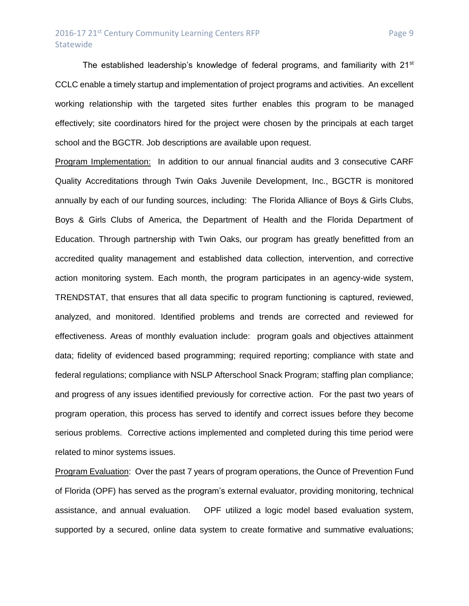The established leadership's knowledge of federal programs, and familiarity with  $21<sup>st</sup>$ CCLC enable a timely startup and implementation of project programs and activities. An excellent working relationship with the targeted sites further enables this program to be managed effectively; site coordinators hired for the project were chosen by the principals at each target school and the BGCTR. Job descriptions are available upon request.

Program Implementation: In addition to our annual financial audits and 3 consecutive CARF Quality Accreditations through Twin Oaks Juvenile Development, Inc., BGCTR is monitored annually by each of our funding sources, including: The Florida Alliance of Boys & Girls Clubs, Boys & Girls Clubs of America, the Department of Health and the Florida Department of Education. Through partnership with Twin Oaks, our program has greatly benefitted from an accredited quality management and established data collection, intervention, and corrective action monitoring system. Each month, the program participates in an agency-wide system, TRENDSTAT, that ensures that all data specific to program functioning is captured, reviewed, analyzed, and monitored. Identified problems and trends are corrected and reviewed for effectiveness. Areas of monthly evaluation include: program goals and objectives attainment data; fidelity of evidenced based programming; required reporting; compliance with state and federal regulations; compliance with NSLP Afterschool Snack Program; staffing plan compliance; and progress of any issues identified previously for corrective action. For the past two years of program operation, this process has served to identify and correct issues before they become serious problems. Corrective actions implemented and completed during this time period were related to minor systems issues.

Program Evaluation: Over the past 7 years of program operations, the Ounce of Prevention Fund of Florida (OPF) has served as the program's external evaluator, providing monitoring, technical assistance, and annual evaluation. OPF utilized a logic model based evaluation system, supported by a secured, online data system to create formative and summative evaluations;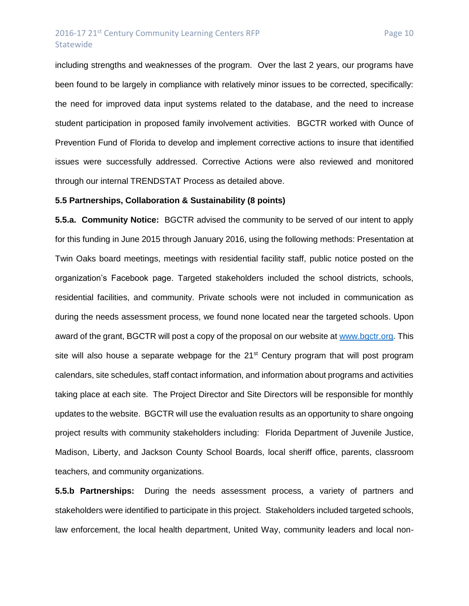## 2016-17 21<sup>st</sup> Century Community Learning Centers RFP Page 10 Statewide

including strengths and weaknesses of the program. Over the last 2 years, our programs have been found to be largely in compliance with relatively minor issues to be corrected, specifically: the need for improved data input systems related to the database, and the need to increase student participation in proposed family involvement activities. BGCTR worked with Ounce of Prevention Fund of Florida to develop and implement corrective actions to insure that identified issues were successfully addressed. Corrective Actions were also reviewed and monitored through our internal TRENDSTAT Process as detailed above.

#### **5.5 Partnerships, Collaboration & Sustainability (8 points)**

**5.5.a. Community Notice:** BGCTR advised the community to be served of our intent to apply for this funding in June 2015 through January 2016, using the following methods: Presentation at Twin Oaks board meetings, meetings with residential facility staff, public notice posted on the organization's Facebook page. Targeted stakeholders included the school districts, schools, residential facilities, and community. Private schools were not included in communication as during the needs assessment process, we found none located near the targeted schools. Upon award of the grant, BGCTR will post a copy of the proposal on our website at [www.bgctr.org.](http://www.bgctr.org/) This site will also house a separate webpage for the  $21^{st}$  Century program that will post program calendars, site schedules, staff contact information, and information about programs and activities taking place at each site. The Project Director and Site Directors will be responsible for monthly updates to the website. BGCTR will use the evaluation results as an opportunity to share ongoing project results with community stakeholders including: Florida Department of Juvenile Justice, Madison, Liberty, and Jackson County School Boards, local sheriff office, parents, classroom teachers, and community organizations.

**5.5.b Partnerships:** During the needs assessment process, a variety of partners and stakeholders were identified to participate in this project. Stakeholders included targeted schools, law enforcement, the local health department, United Way, community leaders and local non-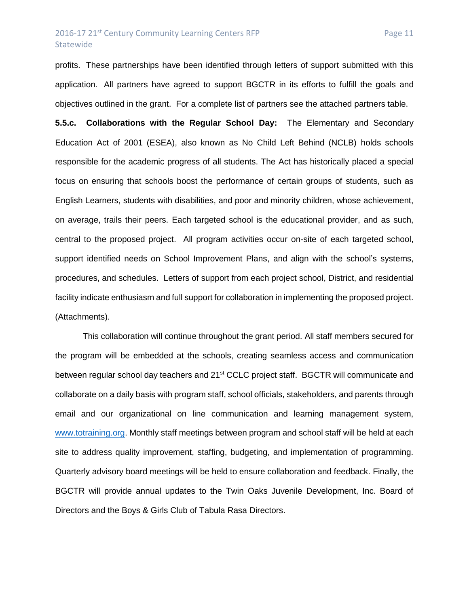## 2016-17 21<sup>st</sup> Century Community Learning Centers RFP Page 11 Statewide

profits. These partnerships have been identified through letters of support submitted with this application. All partners have agreed to support BGCTR in its efforts to fulfill the goals and objectives outlined in the grant. For a complete list of partners see the attached partners table.

**5.5.c. Collaborations with the Regular School Day:** The Elementary and Secondary Education Act of 2001 (ESEA), also known as No Child Left Behind (NCLB) holds schools responsible for the academic progress of all students. The Act has historically placed a special focus on ensuring that schools boost the performance of certain groups of students, such as English Learners, students with disabilities, and poor and minority children, whose achievement, on average, trails their peers. Each targeted school is the educational provider, and as such, central to the proposed project. All program activities occur on-site of each targeted school, support identified needs on School Improvement Plans, and align with the school's systems, procedures, and schedules. Letters of support from each project school, District, and residential facility indicate enthusiasm and full support for collaboration in implementing the proposed project. (Attachments).

This collaboration will continue throughout the grant period. All staff members secured for the program will be embedded at the schools, creating seamless access and communication between regular school day teachers and 21<sup>st</sup> CCLC project staff. BGCTR will communicate and collaborate on a daily basis with program staff, school officials, stakeholders, and parents through email and our organizational on line communication and learning management system, [www.totraining.org.](http://www.totraining.org/) Monthly staff meetings between program and school staff will be held at each site to address quality improvement, staffing, budgeting, and implementation of programming. Quarterly advisory board meetings will be held to ensure collaboration and feedback. Finally, the BGCTR will provide annual updates to the Twin Oaks Juvenile Development, Inc. Board of Directors and the Boys & Girls Club of Tabula Rasa Directors.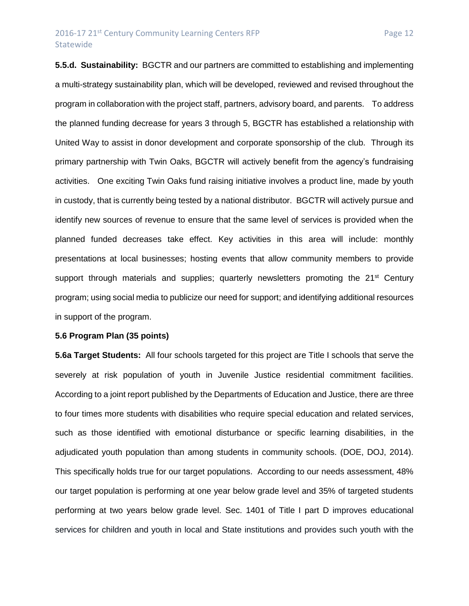## 2016-17 21<sup>st</sup> Century Community Learning Centers RFP Page 12 **Statewide**

**5.5.d. Sustainability:** BGCTR and our partners are committed to establishing and implementing a multi-strategy sustainability plan, which will be developed, reviewed and revised throughout the program in collaboration with the project staff, partners, advisory board, and parents. To address the planned funding decrease for years 3 through 5, BGCTR has established a relationship with United Way to assist in donor development and corporate sponsorship of the club. Through its primary partnership with Twin Oaks, BGCTR will actively benefit from the agency's fundraising activities. One exciting Twin Oaks fund raising initiative involves a product line, made by youth in custody, that is currently being tested by a national distributor. BGCTR will actively pursue and identify new sources of revenue to ensure that the same level of services is provided when the planned funded decreases take effect. Key activities in this area will include: monthly presentations at local businesses; hosting events that allow community members to provide support through materials and supplies; quarterly newsletters promoting the 21<sup>st</sup> Century program; using social media to publicize our need for support; and identifying additional resources in support of the program.

### **5.6 Program Plan (35 points)**

**5.6a Target Students:** All four schools targeted for this project are Title I schools that serve the severely at risk population of youth in Juvenile Justice residential commitment facilities. According to a joint report published by the Departments of Education and Justice, there are three to four times more students with disabilities who require special education and related services, such as those identified with emotional disturbance or specific learning disabilities, in the adjudicated youth population than among students in community schools. (DOE, DOJ, 2014). This specifically holds true for our target populations. According to our needs assessment, 48% our target population is performing at one year below grade level and 35% of targeted students performing at two years below grade level. Sec. 1401 of Title I part D improves educational services for children and youth in local and State institutions and provides such youth with the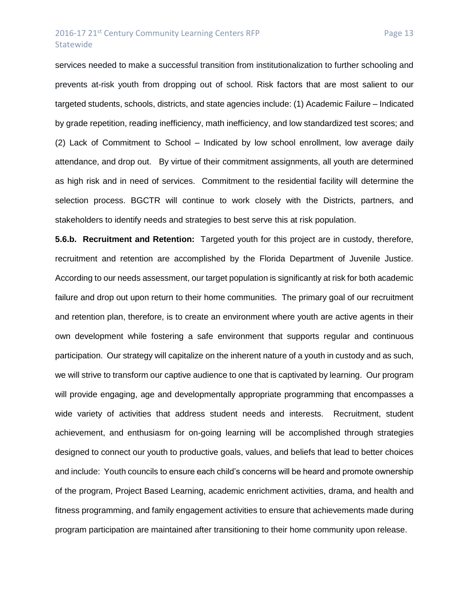### 2016-17 21<sup>st</sup> Century Community Learning Centers RFP Page 13 **Statewide**

services needed to make a successful transition from institutionalization to further schooling and prevents at-risk youth from dropping out of school. Risk factors that are most salient to our targeted students, schools, districts, and state agencies include: (1) Academic Failure – Indicated by grade repetition, reading inefficiency, math inefficiency, and low standardized test scores; and (2) Lack of Commitment to School – Indicated by low school enrollment, low average daily attendance, and drop out. By virtue of their commitment assignments, all youth are determined as high risk and in need of services. Commitment to the residential facility will determine the selection process. BGCTR will continue to work closely with the Districts, partners, and

stakeholders to identify needs and strategies to best serve this at risk population.

**5.6.b. Recruitment and Retention:** Targeted youth for this project are in custody, therefore, recruitment and retention are accomplished by the Florida Department of Juvenile Justice. According to our needs assessment, our target population is significantly at risk for both academic failure and drop out upon return to their home communities. The primary goal of our recruitment and retention plan, therefore, is to create an environment where youth are active agents in their own development while fostering a safe environment that supports regular and continuous participation. Our strategy will capitalize on the inherent nature of a youth in custody and as such, we will strive to transform our captive audience to one that is captivated by learning. Our program will provide engaging, age and developmentally appropriate programming that encompasses a wide variety of activities that address student needs and interests. Recruitment, student achievement, and enthusiasm for on-going learning will be accomplished through strategies designed to connect our youth to productive goals, values, and beliefs that lead to better choices and include: Youth councils to ensure each child's concerns will be heard and promote ownership of the program, Project Based Learning, academic enrichment activities, drama, and health and fitness programming, and family engagement activities to ensure that achievements made during program participation are maintained after transitioning to their home community upon release.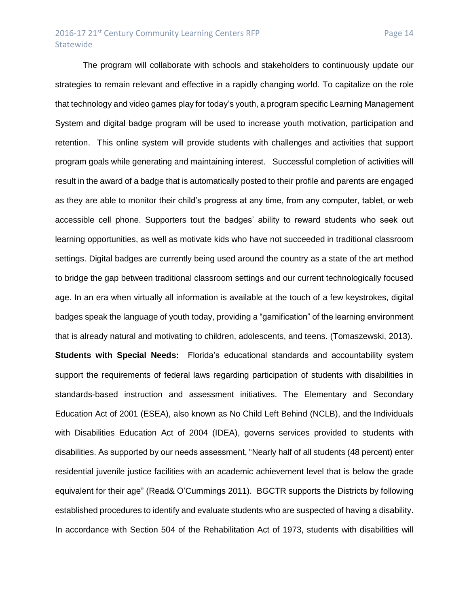The program will collaborate with schools and stakeholders to continuously update our strategies to remain relevant and effective in a rapidly changing world. To capitalize on the role that technology and video games play for today's youth, a program specific Learning Management System and digital badge program will be used to increase youth motivation, participation and retention. This online system will provide students with challenges and activities that support program goals while generating and maintaining interest. Successful completion of activities will result in the award of a badge that is automatically posted to their profile and parents are engaged as they are able to monitor their child's progress at any time, from any computer, tablet, or web accessible cell phone. Supporters tout the badges' ability to reward students who seek out learning opportunities, as well as motivate kids who have not succeeded in traditional classroom settings. Digital badges are currently being used around the country as a state of the art method to bridge the gap between traditional classroom settings and our current technologically focused age. In an era when virtually all information is available at the touch of a few keystrokes, digital badges speak the language of youth today, providing a "gamification" of the learning environment that is already natural and motivating to children, adolescents, and teens. (Tomaszewski, 2013). **Students with Special Needs:** Florida's educational standards and accountability system support the requirements of federal laws regarding participation of students with disabilities in standards-based instruction and assessment initiatives. The Elementary and Secondary Education Act of 2001 (ESEA), also known as No Child Left Behind (NCLB), and the Individuals with Disabilities Education Act of 2004 (IDEA), governs services provided to students with disabilities. As supported by our needs assessment, "Nearly half of all students (48 percent) enter residential juvenile justice facilities with an academic achievement level that is below the grade equivalent for their age" (Read& O'Cummings 2011). BGCTR supports the Districts by following established procedures to identify and evaluate students who are suspected of having a disability. In accordance with Section 504 of the Rehabilitation Act of 1973, students with disabilities will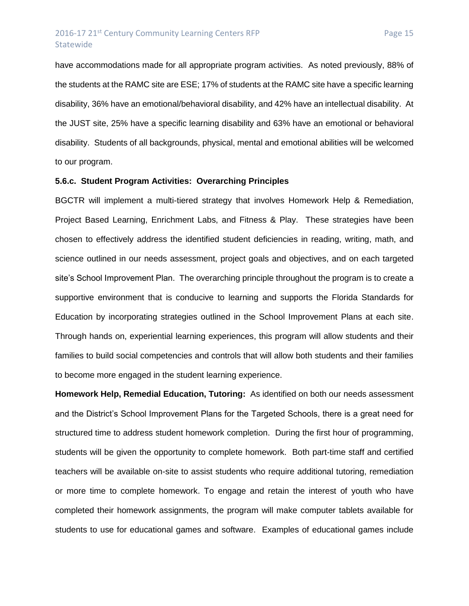## 2016-17 21<sup>st</sup> Century Community Learning Centers RFP Page 15 **Statewide**

have accommodations made for all appropriate program activities. As noted previously, 88% of the students at the RAMC site are ESE; 17% of students at the RAMC site have a specific learning disability, 36% have an emotional/behavioral disability, and 42% have an intellectual disability. At the JUST site, 25% have a specific learning disability and 63% have an emotional or behavioral disability. Students of all backgrounds, physical, mental and emotional abilities will be welcomed to our program.

### **5.6.c. Student Program Activities: Overarching Principles**

BGCTR will implement a multi-tiered strategy that involves Homework Help & Remediation, Project Based Learning, Enrichment Labs, and Fitness & Play. These strategies have been chosen to effectively address the identified student deficiencies in reading, writing, math, and science outlined in our needs assessment, project goals and objectives, and on each targeted site's School Improvement Plan. The overarching principle throughout the program is to create a supportive environment that is conducive to learning and supports the Florida Standards for Education by incorporating strategies outlined in the School Improvement Plans at each site. Through hands on, experiential learning experiences, this program will allow students and their families to build social competencies and controls that will allow both students and their families to become more engaged in the student learning experience.

**Homework Help, Remedial Education, Tutoring:** As identified on both our needs assessment and the District's School Improvement Plans for the Targeted Schools, there is a great need for structured time to address student homework completion. During the first hour of programming, students will be given the opportunity to complete homework. Both part-time staff and certified teachers will be available on-site to assist students who require additional tutoring, remediation or more time to complete homework. To engage and retain the interest of youth who have completed their homework assignments, the program will make computer tablets available for students to use for educational games and software. Examples of educational games include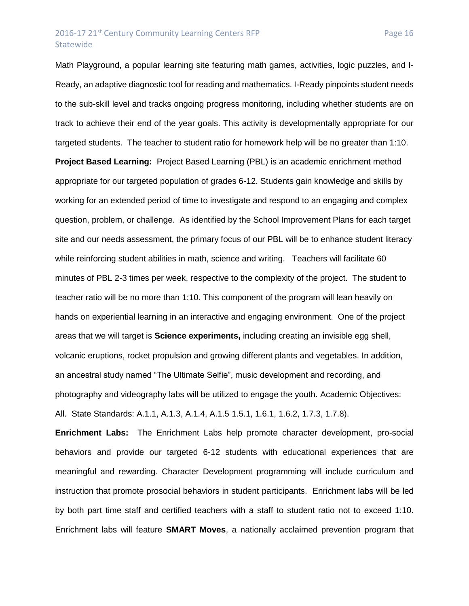## 2016-17 21<sup>st</sup> Century Community Learning Centers RFP Page 16 **Statewide**

Math Playground, a popular learning site featuring math games, activities, logic puzzles, and I-Ready, an adaptive diagnostic tool for reading and mathematics. I-Ready pinpoints student needs to the sub-skill level and tracks ongoing progress monitoring, including whether students are on track to achieve their end of the year goals. This activity is developmentally appropriate for our targeted students. The teacher to student ratio for homework help will be no greater than 1:10. **Project Based Learning:** Project Based Learning (PBL) is an academic enrichment method appropriate for our targeted population of grades 6-12. Students gain knowledge and skills by working for an extended period of time to investigate and respond to an engaging and complex question, problem, or challenge. As identified by the School Improvement Plans for each target site and our needs assessment, the primary focus of our PBL will be to enhance student literacy while reinforcing student abilities in math, science and writing. Teachers will facilitate 60 minutes of PBL 2-3 times per week, respective to the complexity of the project. The student to teacher ratio will be no more than 1:10. This component of the program will lean heavily on hands on experiential learning in an interactive and engaging environment. One of the project areas that we will target is **Science experiments,** including creating an invisible egg shell, volcanic eruptions, rocket propulsion and growing different plants and vegetables. In addition, an ancestral study named "The Ultimate Selfie", music development and recording, and photography and videography labs will be utilized to engage the youth. Academic Objectives: All. State Standards: A.1.1, A.1.3, A.1.4, A.1.5 1.5.1, 1.6.1, 1.6.2, 1.7.3, 1.7.8).

**Enrichment Labs:** The Enrichment Labs help promote character development, pro-social behaviors and provide our targeted 6-12 students with educational experiences that are meaningful and rewarding. Character Development programming will include curriculum and instruction that promote prosocial behaviors in student participants. Enrichment labs will be led by both part time staff and certified teachers with a staff to student ratio not to exceed 1:10. Enrichment labs will feature **SMART Moves**, a nationally acclaimed prevention program that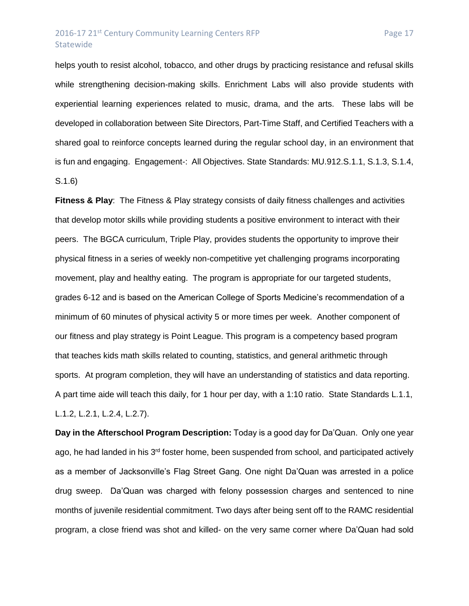## 2016-17 21<sup>st</sup> Century Community Learning Centers RFP Page 17 Statewide

helps youth to resist alcohol, tobacco, and other drugs by practicing resistance and refusal skills while strengthening decision-making skills. Enrichment Labs will also provide students with experiential learning experiences related to music, drama, and the arts. These labs will be developed in collaboration between Site Directors, Part-Time Staff, and Certified Teachers with a shared goal to reinforce concepts learned during the regular school day, in an environment that is fun and engaging. Engagement-: All Objectives. State Standards: MU.912.S.1.1, S.1.3, S.1.4, S.1.6)

**Fitness & Play**: The Fitness & Play strategy consists of daily fitness challenges and activities that develop motor skills while providing students a positive environment to interact with their peers. The BGCA curriculum, Triple Play, provides students the opportunity to improve their physical fitness in a series of weekly non-competitive yet challenging programs incorporating movement, play and healthy eating. The program is appropriate for our targeted students, grades 6-12 and is based on the American College of Sports Medicine's recommendation of a minimum of 60 minutes of physical activity 5 or more times per week. Another component of our fitness and play strategy is Point League. This program is a competency based program that teaches kids math skills related to counting, statistics, and general arithmetic through sports. At program completion, they will have an understanding of statistics and data reporting. A part time aide will teach this daily, for 1 hour per day, with a 1:10 ratio. State Standards L.1.1, L.1.2, L.2.1, L.2.4, L.2.7).

**Day in the Afterschool Program Description:** Today is a good day for Da'Quan. Only one year ago, he had landed in his 3<sup>rd</sup> foster home, been suspended from school, and participated actively as a member of Jacksonville's Flag Street Gang. One night Da'Quan was arrested in a police drug sweep. Da'Quan was charged with felony possession charges and sentenced to nine months of juvenile residential commitment. Two days after being sent off to the RAMC residential program, a close friend was shot and killed- on the very same corner where Da'Quan had sold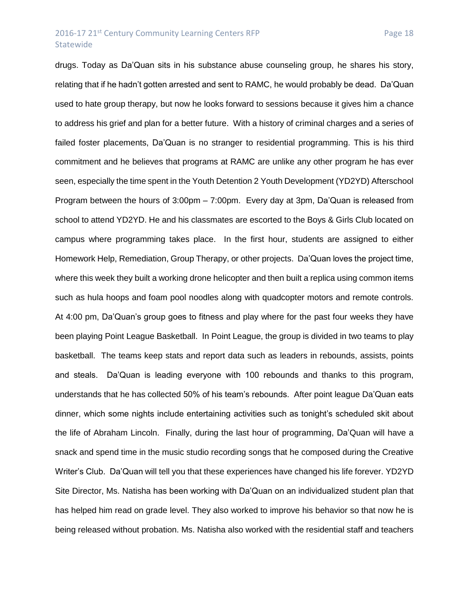### 2016-17 21<sup>st</sup> Century Community Learning Centers RFP Page 18 Statewide

drugs. Today as Da'Quan sits in his substance abuse counseling group, he shares his story, relating that if he hadn't gotten arrested and sent to RAMC, he would probably be dead. Da'Quan used to hate group therapy, but now he looks forward to sessions because it gives him a chance to address his grief and plan for a better future. With a history of criminal charges and a series of failed foster placements, Da'Quan is no stranger to residential programming. This is his third commitment and he believes that programs at RAMC are unlike any other program he has ever seen, especially the time spent in the Youth Detention 2 Youth Development (YD2YD) Afterschool Program between the hours of 3:00pm – 7:00pm. Every day at 3pm, Da'Quan is released from school to attend YD2YD. He and his classmates are escorted to the Boys & Girls Club located on campus where programming takes place. In the first hour, students are assigned to either Homework Help, Remediation, Group Therapy, or other projects. Da'Quan loves the project time, where this week they built a working drone helicopter and then built a replica using common items such as hula hoops and foam pool noodles along with quadcopter motors and remote controls. At 4:00 pm, Da'Quan's group goes to fitness and play where for the past four weeks they have been playing Point League Basketball. In Point League, the group is divided in two teams to play basketball. The teams keep stats and report data such as leaders in rebounds, assists, points and steals. Da'Quan is leading everyone with 100 rebounds and thanks to this program, understands that he has collected 50% of his team's rebounds. After point league Da'Quan eats dinner, which some nights include entertaining activities such as tonight's scheduled skit about the life of Abraham Lincoln. Finally, during the last hour of programming, Da'Quan will have a snack and spend time in the music studio recording songs that he composed during the Creative Writer's Club. Da'Quan will tell you that these experiences have changed his life forever. YD2YD Site Director, Ms. Natisha has been working with Da'Quan on an individualized student plan that has helped him read on grade level. They also worked to improve his behavior so that now he is being released without probation. Ms. Natisha also worked with the residential staff and teachers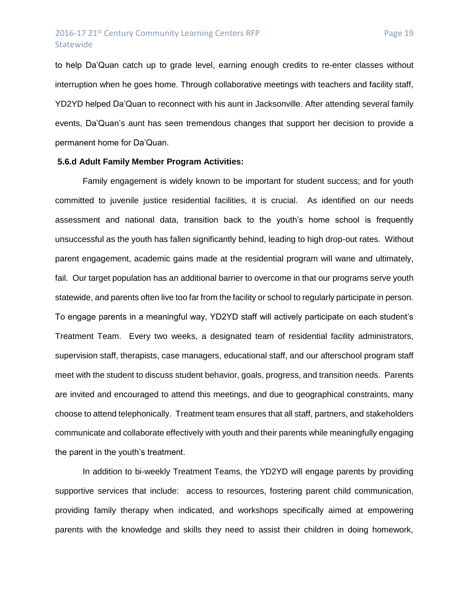to help Da'Quan catch up to grade level, earning enough credits to re-enter classes without interruption when he goes home. Through collaborative meetings with teachers and facility staff, YD2YD helped Da'Quan to reconnect with his aunt in Jacksonville. After attending several family events, Da'Quan's aunt has seen tremendous changes that support her decision to provide a permanent home for Da'Quan.

### **5.6.d Adult Family Member Program Activities:**

Family engagement is widely known to be important for student success; and for youth committed to juvenile justice residential facilities, it is crucial. As identified on our needs assessment and national data, transition back to the youth's home school is frequently unsuccessful as the youth has fallen significantly behind, leading to high drop-out rates. Without parent engagement, academic gains made at the residential program will wane and ultimately, fail. Our target population has an additional barrier to overcome in that our programs serve youth statewide, and parents often live too far from the facility or school to regularly participate in person. To engage parents in a meaningful way, YD2YD staff will actively participate on each student's Treatment Team. Every two weeks, a designated team of residential facility administrators, supervision staff, therapists, case managers, educational staff, and our afterschool program staff meet with the student to discuss student behavior, goals, progress, and transition needs. Parents are invited and encouraged to attend this meetings, and due to geographical constraints, many choose to attend telephonically. Treatment team ensures that all staff, partners, and stakeholders communicate and collaborate effectively with youth and their parents while meaningfully engaging the parent in the youth's treatment.

In addition to bi-weekly Treatment Teams, the YD2YD will engage parents by providing supportive services that include: access to resources, fostering parent child communication, providing family therapy when indicated, and workshops specifically aimed at empowering parents with the knowledge and skills they need to assist their children in doing homework,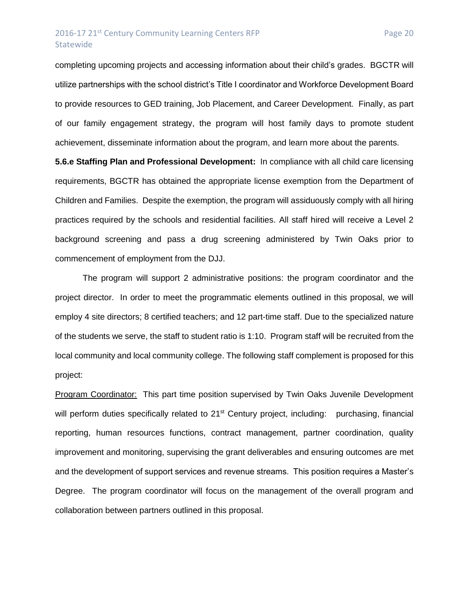## 2016-17 21<sup>st</sup> Century Community Learning Centers RFP Page 20 Statewide

completing upcoming projects and accessing information about their child's grades. BGCTR will utilize partnerships with the school district's Title I coordinator and Workforce Development Board to provide resources to GED training, Job Placement, and Career Development. Finally, as part of our family engagement strategy, the program will host family days to promote student

achievement, disseminate information about the program, and learn more about the parents.

**5.6.e Staffing Plan and Professional Development:** In compliance with all child care licensing requirements, BGCTR has obtained the appropriate license exemption from the Department of Children and Families. Despite the exemption, the program will assiduously comply with all hiring practices required by the schools and residential facilities. All staff hired will receive a Level 2 background screening and pass a drug screening administered by Twin Oaks prior to commencement of employment from the DJJ.

The program will support 2 administrative positions: the program coordinator and the project director. In order to meet the programmatic elements outlined in this proposal, we will employ 4 site directors; 8 certified teachers; and 12 part-time staff. Due to the specialized nature of the students we serve, the staff to student ratio is 1:10. Program staff will be recruited from the local community and local community college. The following staff complement is proposed for this project:

Program Coordinator: This part time position supervised by Twin Oaks Juvenile Development will perform duties specifically related to 21<sup>st</sup> Century project, including: purchasing, financial reporting, human resources functions, contract management, partner coordination, quality improvement and monitoring, supervising the grant deliverables and ensuring outcomes are met and the development of support services and revenue streams. This position requires a Master's Degree. The program coordinator will focus on the management of the overall program and collaboration between partners outlined in this proposal.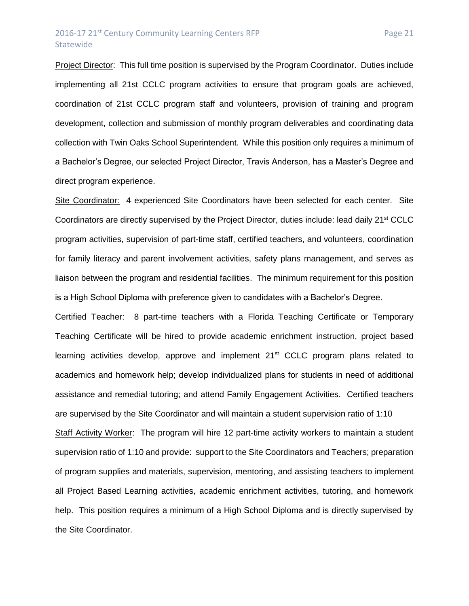## 2016-17 21<sup>st</sup> Century Community Learning Centers RFP Page 21 Statewide

Project Director: This full time position is supervised by the Program Coordinator. Duties include implementing all 21st CCLC program activities to ensure that program goals are achieved, coordination of 21st CCLC program staff and volunteers, provision of training and program development, collection and submission of monthly program deliverables and coordinating data collection with Twin Oaks School Superintendent. While this position only requires a minimum of a Bachelor's Degree, our selected Project Director, Travis Anderson, has a Master's Degree and direct program experience.

Site Coordinator: 4 experienced Site Coordinators have been selected for each center. Site Coordinators are directly supervised by the Project Director, duties include: lead daily 21st CCLC program activities, supervision of part-time staff, certified teachers, and volunteers, coordination for family literacy and parent involvement activities, safety plans management, and serves as liaison between the program and residential facilities. The minimum requirement for this position is a High School Diploma with preference given to candidates with a Bachelor's Degree.

Certified Teacher: 8 part-time teachers with a Florida Teaching Certificate or Temporary Teaching Certificate will be hired to provide academic enrichment instruction, project based learning activities develop, approve and implement 21<sup>st</sup> CCLC program plans related to academics and homework help; develop individualized plans for students in need of additional assistance and remedial tutoring; and attend Family Engagement Activities. Certified teachers are supervised by the Site Coordinator and will maintain a student supervision ratio of 1:10

Staff Activity Worker: The program will hire 12 part-time activity workers to maintain a student supervision ratio of 1:10 and provide: support to the Site Coordinators and Teachers; preparation of program supplies and materials, supervision, mentoring, and assisting teachers to implement all Project Based Learning activities, academic enrichment activities, tutoring, and homework help. This position requires a minimum of a High School Diploma and is directly supervised by the Site Coordinator.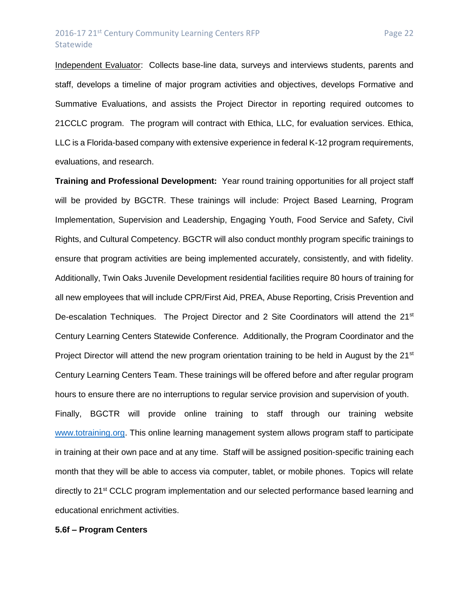### 2016-17 21<sup>st</sup> Century Community Learning Centers RFP Page 22 **Statewide**

Independent Evaluator: Collects base-line data, surveys and interviews students, parents and staff, develops a timeline of major program activities and objectives, develops Formative and Summative Evaluations, and assists the Project Director in reporting required outcomes to 21CCLC program. The program will contract with Ethica, LLC, for evaluation services. Ethica, LLC is a Florida-based company with extensive experience in federal K-12 program requirements, evaluations, and research.

**Training and Professional Development:** Year round training opportunities for all project staff will be provided by BGCTR. These trainings will include: Project Based Learning, Program Implementation, Supervision and Leadership, Engaging Youth, Food Service and Safety, Civil Rights, and Cultural Competency. BGCTR will also conduct monthly program specific trainings to ensure that program activities are being implemented accurately, consistently, and with fidelity. Additionally, Twin Oaks Juvenile Development residential facilities require 80 hours of training for all new employees that will include CPR/First Aid, PREA, Abuse Reporting, Crisis Prevention and De-escalation Techniques. The Project Director and 2 Site Coordinators will attend the 21<sup>st</sup> Century Learning Centers Statewide Conference. Additionally, the Program Coordinator and the Project Director will attend the new program orientation training to be held in August by the 21<sup>st</sup> Century Learning Centers Team. These trainings will be offered before and after regular program hours to ensure there are no interruptions to regular service provision and supervision of youth. Finally, BGCTR will provide online training to staff through our training website [www.totraining.org.](http://www.totraining.org/) This online learning management system allows program staff to participate in training at their own pace and at any time. Staff will be assigned position-specific training each month that they will be able to access via computer, tablet, or mobile phones. Topics will relate directly to 21<sup>st</sup> CCLC program implementation and our selected performance based learning and educational enrichment activities.

#### **5.6f – Program Centers**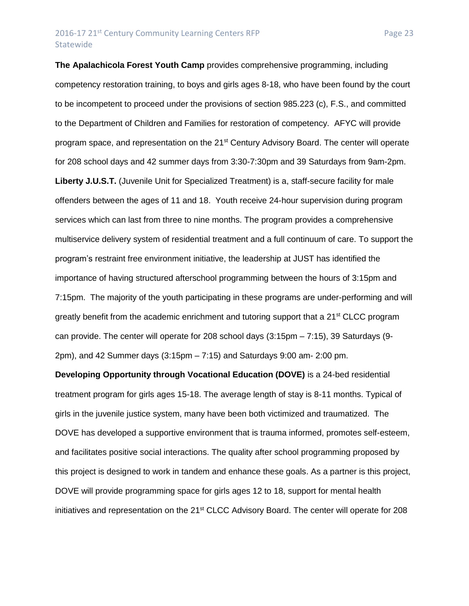**The Apalachicola Forest Youth Camp** provides comprehensive programming, including competency restoration training, to boys and girls ages 8-18, who have been found by the court to be incompetent to proceed under the provisions of section 985.223 (c), F.S., and committed to the Department of Children and Families for restoration of competency. AFYC will provide program space, and representation on the 21<sup>st</sup> Century Advisory Board. The center will operate for 208 school days and 42 summer days from 3:30-7:30pm and 39 Saturdays from 9am-2pm. **Liberty J.U.S.T.** (Juvenile Unit for Specialized Treatment) is a, staff-secure facility for male offenders between the ages of 11 and 18. Youth receive 24-hour supervision during program services which can last from three to nine months. The program provides a comprehensive multiservice delivery system of residential treatment and a full continuum of care. To support the program's restraint free environment initiative, the leadership at JUST has identified the importance of having structured afterschool programming between the hours of 3:15pm and 7:15pm. The majority of the youth participating in these programs are under-performing and will greatly benefit from the academic enrichment and tutoring support that a  $21^{st}$  CLCC program can provide. The center will operate for 208 school days (3:15pm – 7:15), 39 Saturdays (9- 2pm), and 42 Summer days (3:15pm – 7:15) and Saturdays 9:00 am- 2:00 pm.

**Developing Opportunity through Vocational Education (DOVE)** is a 24-bed residential treatment program for girls ages 15-18. The average length of stay is 8-11 months. Typical of girls in the juvenile justice system, many have been both victimized and traumatized. The DOVE has developed a supportive environment that is trauma informed, promotes self-esteem, and facilitates positive social interactions. The quality after school programming proposed by this project is designed to work in tandem and enhance these goals. As a partner is this project, DOVE will provide programming space for girls ages 12 to 18, support for mental health initiatives and representation on the 21<sup>st</sup> CLCC Advisory Board. The center will operate for 208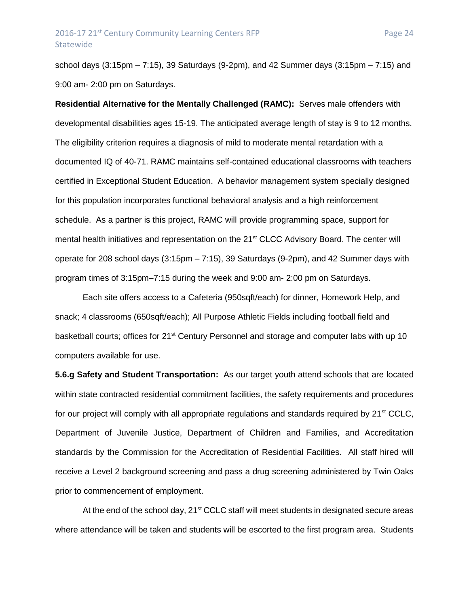school days (3:15pm – 7:15), 39 Saturdays (9-2pm), and 42 Summer days (3:15pm – 7:15) and 9:00 am- 2:00 pm on Saturdays.

**Residential Alternative for the Mentally Challenged (RAMC):** Serves male offenders with developmental disabilities ages 15-19. The anticipated average length of stay is 9 to 12 months. The eligibility criterion requires a diagnosis of mild to moderate mental retardation with a documented IQ of 40-71. RAMC maintains self-contained educational classrooms with teachers certified in Exceptional Student Education. A behavior management system specially designed for this population incorporates functional behavioral analysis and a high reinforcement schedule. As a partner is this project, RAMC will provide programming space, support for mental health initiatives and representation on the 21<sup>st</sup> CLCC Advisory Board. The center will operate for 208 school days (3:15pm – 7:15), 39 Saturdays (9-2pm), and 42 Summer days with program times of 3:15pm–7:15 during the week and 9:00 am- 2:00 pm on Saturdays.

Each site offers access to a Cafeteria (950sqft/each) for dinner, Homework Help, and snack; 4 classrooms (650sqft/each); All Purpose Athletic Fields including football field and basketball courts; offices for 21<sup>st</sup> Century Personnel and storage and computer labs with up 10 computers available for use.

**5.6.g Safety and Student Transportation:** As our target youth attend schools that are located within state contracted residential commitment facilities, the safety requirements and procedures for our project will comply with all appropriate regulations and standards required by  $21^{st}$  CCLC. Department of Juvenile Justice, Department of Children and Families, and Accreditation standards by the Commission for the Accreditation of Residential Facilities. All staff hired will receive a Level 2 background screening and pass a drug screening administered by Twin Oaks prior to commencement of employment.

At the end of the school day, 21<sup>st</sup> CCLC staff will meet students in designated secure areas where attendance will be taken and students will be escorted to the first program area. Students